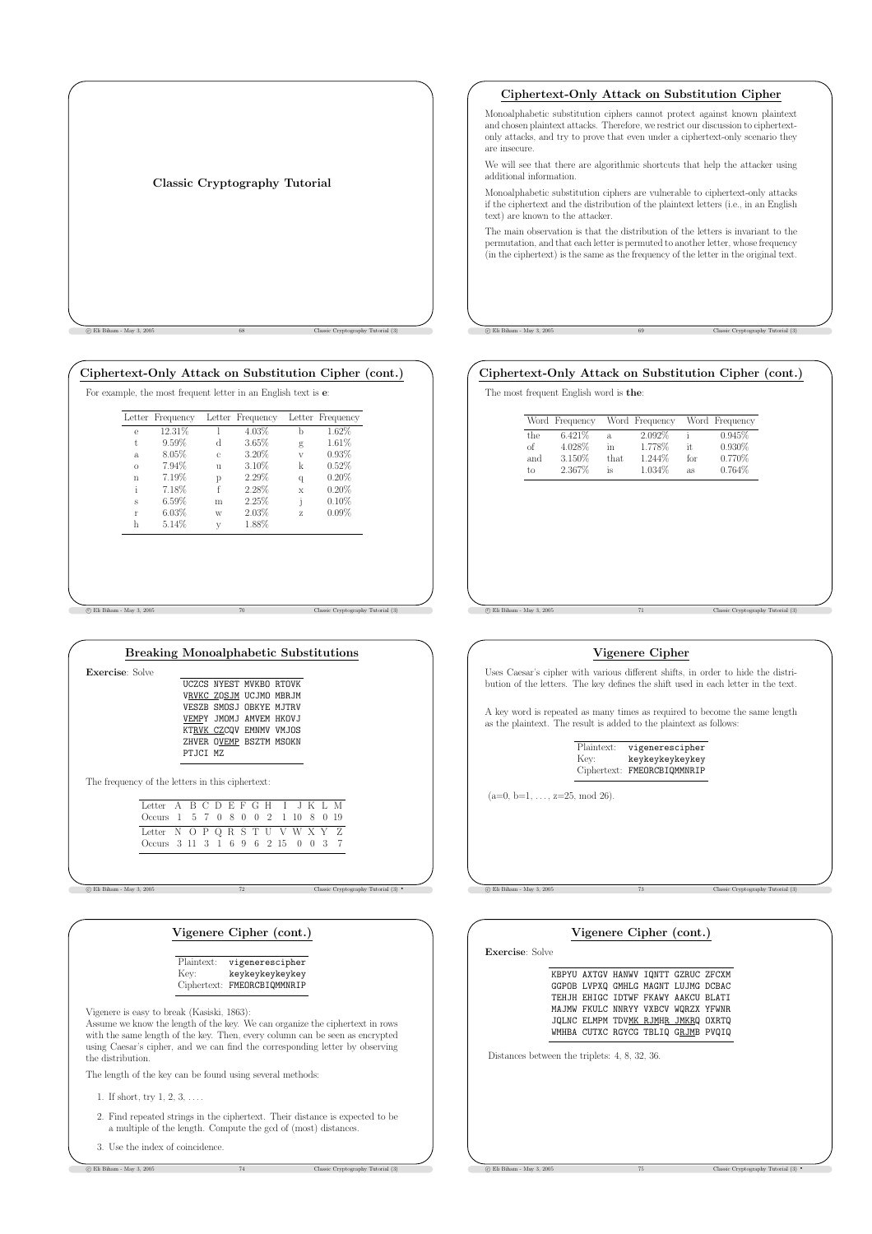|  | Classic Cryptography Tutorial |
|--|-------------------------------|
|  |                               |

c Eli Biham - May 3, 2005 68 Classic Cryptography Tutorial (3)

### Ciphertext-Only Attack on Substitution Cipher (cont.)

| e<br>$^{\dagger}$ | 12.31%                   | 4.03% | b                       |          |
|-------------------|--------------------------|-------|-------------------------|----------|
|                   |                          |       |                         | 1.62%    |
|                   | 9.59%<br>d               | 3.65% | g                       | 1.61%    |
| a.                | 8.05%<br>C.              | 3.20% | $\overline{\mathbf{V}}$ | 0.93%    |
| $\Omega$          | 7.94%<br>$\overline{11}$ | 3.10% | k                       | 0.52%    |
| $\mathbf{n}$      | 7.19%<br>p               | 2.29% | $\overline{q}$          | 0.20%    |
| i                 | f<br>7.18%               | 2.28% | X                       | 0.20%    |
| s                 | 6.59%<br>m               | 2.25% | i                       | 0.10%    |
| r                 | 6.03%<br>W               | 2.03% | Z.                      | $0.09\%$ |
| h                 | 5.14%<br>V               | 1.88% |                         |          |

c Eli Biham - May 3, 2005 70 Classic Cryptography Tutorial (3)

Exercis

| <b>Breaking Monoalphabetic Substitutions</b> |           |                         |  |
|----------------------------------------------|-----------|-------------------------|--|
| e: Solve                                     |           |                         |  |
|                                              |           | UCZCS NYEST MVKBO RTOVK |  |
|                                              |           | VRVKC ZOSJM UCJMO MBRJM |  |
|                                              |           | VESZB SMOSJ OBKYE MJTRV |  |
|                                              |           | VEMPY JMOMJ AMVEM HKOVJ |  |
|                                              |           | KTRVK CZCOV EMNMV VMJOS |  |
|                                              |           | ZHVER OVEMP BSZTM MSOKN |  |
|                                              | PT.ICT MZ |                         |  |
|                                              |           |                         |  |

The frequency of the letters in this ciphertext:

| Letter A B C D E F G H I J K L M   |  |  |  |  |  |  |  |
|------------------------------------|--|--|--|--|--|--|--|
| Occurs 1 5 7 0 8 0 0 2 1 10 8 0 19 |  |  |  |  |  |  |  |
| Letter N O P Q R S T U V W X Y Z   |  |  |  |  |  |  |  |
| Occurs 3 11 3 1 6 9 6 2 15 0 0 3 7 |  |  |  |  |  |  |  |

c Eli Biham - May 3, 2005 72 Classic Cryptography Tutorial (3) •

# Vigenere Cipher (cont.)

| Plaintext:  | vigenerescipher |
|-------------|-----------------|
| Kev:        | keykeykeykeykey |
| Ciphertext: | FMEORCBIQMMNRIP |

Vigenere is easy to break (Kasiski, 1863):

Assume we know the length of the key. We can organize the ciphertext in rows with the same length of the key. Then, every column can be seen as encrypted using Caesar's cipher, and we can find the corresponding letter by observing the distribution.

The length of the key can be found using several methods:

- 1. If short, try 1, 2, 3, . . . .
- 2. Find repeated strings in the ciphertext. Their distance is expected to be a multiple of the length. Compute the gcd of (most) distances.

c Eliassic Cryptography Tutorial (3) Classic Cryptography Tutorial (3)

3. Use the index of coincidence.

## Ciphertext-Only Attack on Substitution Cipher

Monoalphabetic substitution ciphers cannot protect against known plaintext and chosen plaintext attacks. Therefore, we restrict our discussion to ciphertextonly attacks, and try to prove that even under a ciphertext-only scenario they are insecure.

We will see that there are algorithmic shortcuts that help the attacker using additional information.

Monoalphabetic substitution ciphers are vulnerable to ciphertext-only attacks if the ciphertext and the distribution of the plaintext letters (i.e., in an English text) are known to the attacker.

The main observation is that the distribution of the letters is invariant to the permutation, and that each letter is permuted to another letter, whose frequency (in the ciphertext) is the same as the frequency of the letter in the original text.

c Eli Biham - May 3, 2005 69 Classic Cryptography Tutorial (3)

## Ciphertext-Only Attack on Substitution Cipher (cont.)

The most frequent English word is the:

|     | Word Frequency |      | Word Frequency |     | Word Frequency |
|-----|----------------|------|----------------|-----|----------------|
| the | 6.421\%        | a    | 2.092%         |     | 0.945%         |
| of  | 4.028%         | in   | 1.778%         | it. | 0.930%         |
| and | 3.150%         | that | 1.244\%        | for | 0.770%         |
| tο  | 2.367%         | is   | 1.034\%        | as  | 0.764%         |

## Vigenere Cipher

c Eli Biham - May 3, 2005 71 Classic Cryptography Tutorial (3)

Uses Caesar's cipher with various different shifts, in order to hide the distribution of the letters. The key defines the shift used in each letter in the text.

A key word is repeated as many times as required to become the same length as the plaintext. The result is added to the plaintext as follows:

Plaintext: vigenerescipher Key: keykeykeykeykey Ciphertext: FMEORCBIQMMNRIP

 $(a=0, b=1, \ldots, z=25, \text{mod } 26)$ .

c Eli Biham - May 3, 2005 73 Classic Cryptography Tutorial (3)

|                                               | KBPYU AXTGV HANWV IQNTT GZRUC ZFCXM<br>GGPOB LVPXQ GMHLG MAGNT LUJMG DCBAC |  |  |
|-----------------------------------------------|----------------------------------------------------------------------------|--|--|
|                                               | TEHJH EHIGC IDTWF FKAWY AAKCU BLATI                                        |  |  |
|                                               | MAJMW FKULC NNRYY VXBCV WQRZX YFWNR                                        |  |  |
|                                               | JQLNC ELMPM TDVMK RJMHR JMKRQ OXRTQ<br>WMHBA CUTXC RGYCG TBLIQ GRJMB PVQIQ |  |  |
| Distances between the triplets: 4, 8, 32, 36. |                                                                            |  |  |

c Eli Biham - May 3, 2005 75 Classic Cryptography Tutorial (3) •